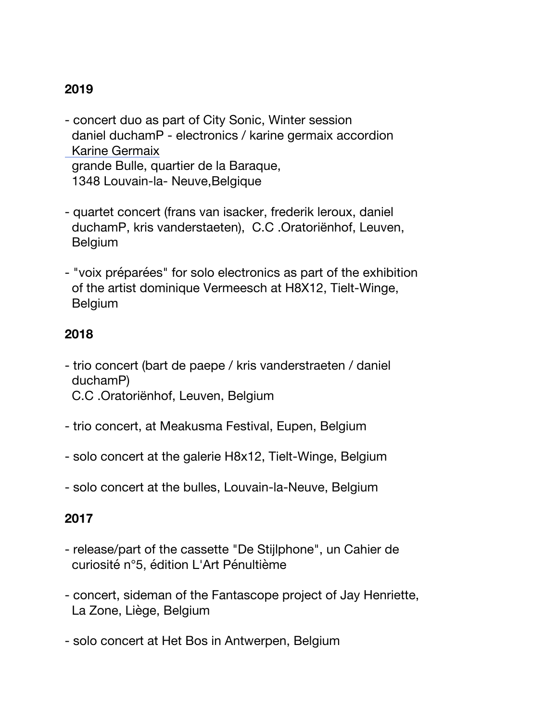# **2019**

- concert duo as part of City Sonic, Winter session daniel duchamP - electronics / karine germaix accordion Karine Germaix grande Bulle, quartier de la Baraque, 1348 Louvain-la- Neuve,Belgique
- quartet concert (frans van isacker, frederik leroux, daniel duchamP, kris vanderstaeten), C.C .Oratoriënhof, Leuven, Belgium
- "voix préparées" for solo electronics as part of the exhibition of the artist dominique Vermeesch at H8X12, Tielt-Winge, Belgium

## **2018**

- trio concert (bart de paepe / kris vanderstraeten / daniel duchamP) C.C .Oratoriënhof, Leuven, Belgium
- trio concert, at Meakusma Festival, Eupen, Belgium
- solo concert at the galerie H8x12, Tielt-Winge, Belgium
- solo concert at the bulles, Louvain-la-Neuve, Belgium

### **2017**

- release/part of the cassette "De Stijlphone", un Cahier de curiosité n°5, édition L'Art Pénultième
- concert, sideman of the Fantascope project of Jay Henriette, La Zone, Liège, Belgium
- solo concert at Het Bos in Antwerpen, Belgium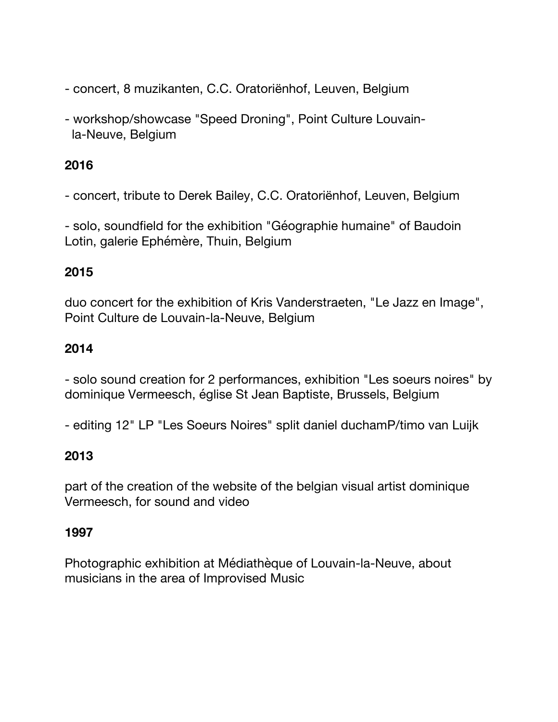- concert, 8 muzikanten, C.C. Oratoriënhof, Leuven, Belgium
- workshop/showcase "Speed Droning", Point Culture Louvain la-Neuve, Belgium

## **2016**

- concert, tribute to Derek Bailey, C.C. Oratoriënhof, Leuven, Belgium

- solo, soundfield for the exhibition "Géographie humaine" of Baudoin Lotin, galerie Ephémère, Thuin, Belgium

## **2015**

duo concert for the exhibition of Kris Vanderstraeten, "Le Jazz en Image", Point Culture de Louvain-la-Neuve, Belgium

## **2014**

- solo sound creation for 2 performances, exhibition "Les soeurs noires" by dominique Vermeesch, église St Jean Baptiste, Brussels, Belgium

- editing 12" LP "Les Soeurs Noires" split daniel duchamP/timo van Luijk

# **2013**

part of the creation of the website of the belgian visual artist dominique Vermeesch, for sound and video

### **1997**

Photographic exhibition at Médiathèque of Louvain-la-Neuve, about musicians in the area of Improvised Music